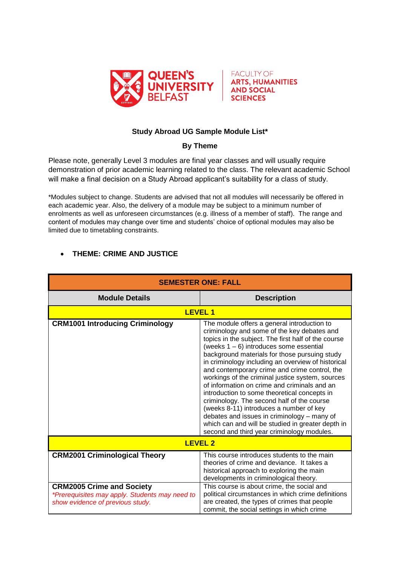



## **Study Abroad UG Sample Module List\***

## **By Theme**

Please note, generally Level 3 modules are final year classes and will usually require demonstration of prior academic learning related to the class. The relevant academic School will make a final decision on a Study Abroad applicant's suitability for a class of study.

\*Modules subject to change. Students are advised that not all modules will necessarily be offered in each academic year. Also, the delivery of a module may be subject to a minimum number of enrolments as well as unforeseen circumstances (e.g. illness of a member of staff). The range and content of modules may change over time and students' choice of optional modules may also be limited due to timetabling constraints.

## **THEME: CRIME AND JUSTICE**

| <b>SEMESTER ONE: FALL</b>                                                                                              |                                                                                                                                                                                                                                                                                                                                                                                                                                                                                                                                                                                                                                                                                                                                                        |  |
|------------------------------------------------------------------------------------------------------------------------|--------------------------------------------------------------------------------------------------------------------------------------------------------------------------------------------------------------------------------------------------------------------------------------------------------------------------------------------------------------------------------------------------------------------------------------------------------------------------------------------------------------------------------------------------------------------------------------------------------------------------------------------------------------------------------------------------------------------------------------------------------|--|
| <b>Module Details</b>                                                                                                  | <b>Description</b>                                                                                                                                                                                                                                                                                                                                                                                                                                                                                                                                                                                                                                                                                                                                     |  |
| <b>LEVEL1</b>                                                                                                          |                                                                                                                                                                                                                                                                                                                                                                                                                                                                                                                                                                                                                                                                                                                                                        |  |
| <b>CRM1001 Introducing Criminology</b>                                                                                 | The module offers a general introduction to<br>criminology and some of the key debates and<br>topics in the subject. The first half of the course<br>(weeks $1 - 6$ ) introduces some essential<br>background materials for those pursuing study<br>in criminology including an overview of historical<br>and contemporary crime and crime control, the<br>workings of the criminal justice system, sources<br>of information on crime and criminals and an<br>introduction to some theoretical concepts in<br>criminology. The second half of the course<br>(weeks 8-11) introduces a number of key<br>debates and issues in criminology - many of<br>which can and will be studied in greater depth in<br>second and third year criminology modules. |  |
| <b>LEVEL 2</b>                                                                                                         |                                                                                                                                                                                                                                                                                                                                                                                                                                                                                                                                                                                                                                                                                                                                                        |  |
| <b>CRM2001 Criminological Theory</b>                                                                                   | This course introduces students to the main<br>theories of crime and deviance. It takes a<br>historical approach to exploring the main<br>developments in criminological theory.                                                                                                                                                                                                                                                                                                                                                                                                                                                                                                                                                                       |  |
| <b>CRM2005 Crime and Society</b><br>*Prerequisites may apply. Students may need to<br>show evidence of previous study. | This course is about crime, the social and<br>political circumstances in which crime definitions<br>are created, the types of crimes that people<br>commit, the social settings in which crime                                                                                                                                                                                                                                                                                                                                                                                                                                                                                                                                                         |  |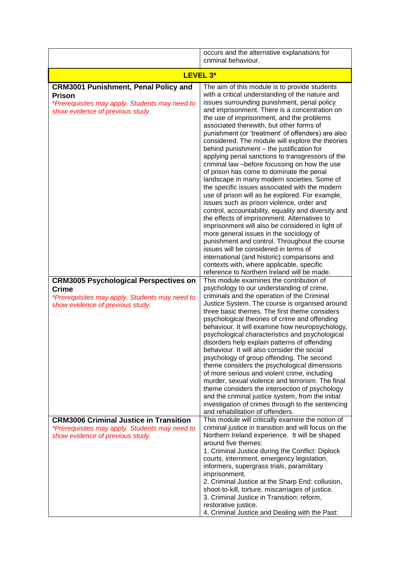|                                                                                                                                                    | occurs and the alternative explanations for<br>criminal behaviour.                                                                                                                                                                                                                                                                                                                                                                                                                                                                                                                                                                                                                                                                                                                                                                                                                                                                                                                                                                                                                                                                                                                                                                            |
|----------------------------------------------------------------------------------------------------------------------------------------------------|-----------------------------------------------------------------------------------------------------------------------------------------------------------------------------------------------------------------------------------------------------------------------------------------------------------------------------------------------------------------------------------------------------------------------------------------------------------------------------------------------------------------------------------------------------------------------------------------------------------------------------------------------------------------------------------------------------------------------------------------------------------------------------------------------------------------------------------------------------------------------------------------------------------------------------------------------------------------------------------------------------------------------------------------------------------------------------------------------------------------------------------------------------------------------------------------------------------------------------------------------|
| LEVEL 3*                                                                                                                                           |                                                                                                                                                                                                                                                                                                                                                                                                                                                                                                                                                                                                                                                                                                                                                                                                                                                                                                                                                                                                                                                                                                                                                                                                                                               |
| <b>CRM3001 Punishment, Penal Policy and</b><br><b>Prison</b><br>*Prerequisites may apply. Students may need to<br>show evidence of previous study. | The aim of this module is to provide students<br>with a critical understanding of the nature and<br>issues surrounding punishment, penal policy<br>and imprisonment. There is a concentration on<br>the use of imprisonment, and the problems<br>associated therewith, but other forms of<br>punishment (or 'treatment' of offenders) are also<br>considered. The module will explore the theories<br>behind punishment - the justification for<br>applying penal sanctions to transgressors of the<br>criminal law -before focussing on how the use<br>of prison has come to dominate the penal<br>landscape in many modern societies. Some of<br>the specific issues associated with the modern<br>use of prison will as be explored. For example,<br>issues such as prison violence, order and<br>control, accountability, equality and diversity and<br>the effects of imprisonment. Alternatives to<br>imprisonment will also be considered in light of<br>more general issues in the sociology of<br>punishment and control. Throughout the course<br>issues will be considered in terms of<br>international (and historic) comparisons and<br>contexts with, where applicable, specific<br>reference to Northern Ireland will be made. |
| <b>CRM3005 Psychological Perspectives on</b><br><b>Crime</b><br>*Prerequisites may apply. Students may need to<br>show evidence of previous study. | This module examines the contribution of<br>psychology to our understanding of crime,<br>criminals and the operation of the Criminal<br>Justice System. The course is organised around<br>three basic themes. The first theme considers<br>psychological theories of crime and offending<br>behaviour. It will examine how neuropsychology,<br>psychological characteristics and psychological<br>disorders help explain patterns of offending<br>behaviour. It will also consider the social<br>psychology of group offending. The second<br>theme considers the psychological dimensions<br>of more serious and violent crime, including<br>murder, sexual violence and terrorism. The final<br>theme considers the intersection of psychology<br>and the criminal justice system, from the initial<br>investigation of crimes through to the sentencing<br>and rehabilitation of offenders.                                                                                                                                                                                                                                                                                                                                                |
| <b>CRM3006 Criminal Justice in Transition</b><br>*Prerequisites may apply. Students may need to<br>show evidence of previous study.                | This module will critically examine the notion of<br>criminal justice in transition and will focus on the<br>Northern Ireland experience. It will be shaped<br>around five themes:<br>1. Criminal Justice during the Conflict: Diplock<br>courts, internment, emergency legislation,<br>informers, supergrass trials, paramilitary<br>imprisonment.<br>2. Criminal Justice at the Sharp End: collusion,<br>shoot-to-kill, torture, miscarriages of justice.<br>3. Criminal Justice in Transition: reform,<br>restorative justice.<br>4. Criminal Justice and Dealing with the Past:                                                                                                                                                                                                                                                                                                                                                                                                                                                                                                                                                                                                                                                           |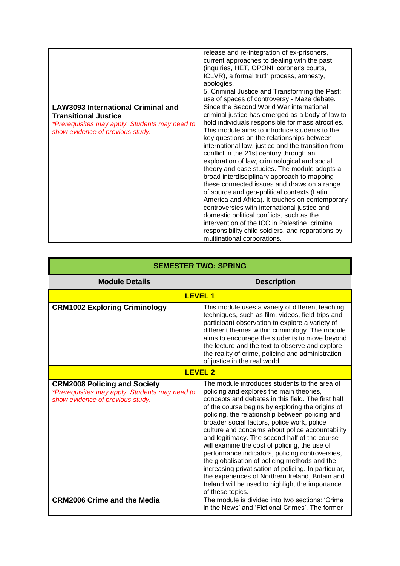|                                                                                                                                                                | release and re-integration of ex-prisoners,<br>current approaches to dealing with the past<br>(inquiries, HET, OPONI, coroner's courts,<br>ICLVR), a formal truth process, amnesty,<br>apologies.<br>5. Criminal Justice and Transforming the Past:<br>use of spaces of controversy - Maze debate.                                                                                                                                                                                                                                                                                                                                                                                                                                                                                                                                                                                    |
|----------------------------------------------------------------------------------------------------------------------------------------------------------------|---------------------------------------------------------------------------------------------------------------------------------------------------------------------------------------------------------------------------------------------------------------------------------------------------------------------------------------------------------------------------------------------------------------------------------------------------------------------------------------------------------------------------------------------------------------------------------------------------------------------------------------------------------------------------------------------------------------------------------------------------------------------------------------------------------------------------------------------------------------------------------------|
| <b>LAW3093 International Criminal and</b><br><b>Transitional Justice</b><br>*Prerequisites may apply. Students may need to<br>show evidence of previous study. | Since the Second World War international<br>criminal justice has emerged as a body of law to<br>hold individuals responsible for mass atrocities.<br>This module aims to introduce students to the<br>key questions on the relationships between<br>international law, justice and the transition from<br>conflict in the 21st century through an<br>exploration of law, criminological and social<br>theory and case studies. The module adopts a<br>broad interdisciplinary approach to mapping<br>these connected issues and draws on a range<br>of source and geo-political contexts (Latin<br>America and Africa). It touches on contemporary<br>controversies with international justice and<br>domestic political conflicts, such as the<br>intervention of the ICC in Palestine, criminal<br>responsibility child soldiers, and reparations by<br>multinational corporations. |

| <b>SEMESTER TWO: SPRING</b>                                                                                               |                                                                                                                                                                                                                                                                                                                                                                                                                                                                                                                                                                                                                                                                                                                                                     |  |
|---------------------------------------------------------------------------------------------------------------------------|-----------------------------------------------------------------------------------------------------------------------------------------------------------------------------------------------------------------------------------------------------------------------------------------------------------------------------------------------------------------------------------------------------------------------------------------------------------------------------------------------------------------------------------------------------------------------------------------------------------------------------------------------------------------------------------------------------------------------------------------------------|--|
| <b>Module Details</b>                                                                                                     | <b>Description</b>                                                                                                                                                                                                                                                                                                                                                                                                                                                                                                                                                                                                                                                                                                                                  |  |
| <b>LEVEL 1</b>                                                                                                            |                                                                                                                                                                                                                                                                                                                                                                                                                                                                                                                                                                                                                                                                                                                                                     |  |
| <b>CRM1002 Exploring Criminology</b>                                                                                      | This module uses a variety of different teaching<br>techniques, such as film, videos, field-trips and<br>participant observation to explore a variety of<br>different themes within criminology. The module<br>aims to encourage the students to move beyond<br>the lecture and the text to observe and explore<br>the reality of crime, policing and administration<br>of justice in the real world.                                                                                                                                                                                                                                                                                                                                               |  |
| <b>LEVEL 2</b>                                                                                                            |                                                                                                                                                                                                                                                                                                                                                                                                                                                                                                                                                                                                                                                                                                                                                     |  |
| <b>CRM2008 Policing and Society</b><br>*Prerequisites may apply. Students may need to<br>show evidence of previous study. | The module introduces students to the area of<br>policing and explores the main theories,<br>concepts and debates in this field. The first half<br>of the course begins by exploring the origins of<br>policing, the relationship between policing and<br>broader social factors, police work, police<br>culture and concerns about police accountability<br>and legitimacy. The second half of the course<br>will examine the cost of policing, the use of<br>performance indicators, policing controversies,<br>the globalisation of policing methods and the<br>increasing privatisation of policing. In particular,<br>the experiences of Northern Ireland, Britain and<br>Ireland will be used to highlight the importance<br>of these topics. |  |
| <b>CRM2006 Crime and the Media</b>                                                                                        | The module is divided into two sections: 'Crime<br>in the News' and 'Fictional Crimes'. The former                                                                                                                                                                                                                                                                                                                                                                                                                                                                                                                                                                                                                                                  |  |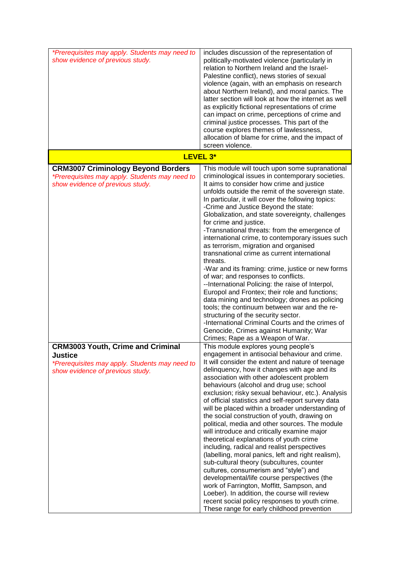| *Prerequisites may apply. Students may need to<br>show evidence of previous study.                                                               | includes discussion of the representation of<br>politically-motivated violence (particularly in<br>relation to Northern Ireland and the Israel-<br>Palestine conflict), news stories of sexual<br>violence (again, with an emphasis on research<br>about Northern Ireland), and moral panics. The<br>latter section will look at how the internet as well<br>as explicitly fictional representations of crime<br>can impact on crime, perceptions of crime and<br>criminal justice processes. This part of the<br>course explores themes of lawlessness,<br>allocation of blame for crime, and the impact of<br>screen violence.                                                                                                                                                                                                                                                                                                                                                                                                                                                                                           |
|--------------------------------------------------------------------------------------------------------------------------------------------------|----------------------------------------------------------------------------------------------------------------------------------------------------------------------------------------------------------------------------------------------------------------------------------------------------------------------------------------------------------------------------------------------------------------------------------------------------------------------------------------------------------------------------------------------------------------------------------------------------------------------------------------------------------------------------------------------------------------------------------------------------------------------------------------------------------------------------------------------------------------------------------------------------------------------------------------------------------------------------------------------------------------------------------------------------------------------------------------------------------------------------|
|                                                                                                                                                  | LEVEL 3*                                                                                                                                                                                                                                                                                                                                                                                                                                                                                                                                                                                                                                                                                                                                                                                                                                                                                                                                                                                                                                                                                                                   |
| <b>CRM3007 Criminology Beyond Borders</b><br>*Prerequisites may apply. Students may need to<br>show evidence of previous study.                  | This module will touch upon some supranational<br>criminological issues in contemporary societies.<br>It aims to consider how crime and justice<br>unfolds outside the remit of the sovereign state.<br>In particular, it will cover the following topics:<br>-Crime and Justice Beyond the state:<br>Globalization, and state sovereignty, challenges<br>for crime and justice.<br>-Transnational threats: from the emergence of<br>international crime, to contemporary issues such<br>as terrorism, migration and organised<br>transnational crime as current international<br>threats.<br>-War and its framing: crime, justice or new forms<br>of war; and responses to conflicts.<br>--International Policing: the raise of Interpol,<br>Europol and Frontex; their role and functions;<br>data mining and technology; drones as policing<br>tools; the continuum between war and the re-<br>structuring of the security sector.<br>-International Criminal Courts and the crimes of<br>Genocide, Crimes against Humanity; War                                                                                        |
| <b>CRM3003 Youth, Crime and Criminal</b><br><b>Justice</b><br>*Prerequisites may apply. Students may need to<br>show evidence of previous study. | Crimes; Rape as a Weapon of War.<br>This module explores young people's<br>engagement in antisocial behaviour and crime.<br>It will consider the extent and nature of teenage<br>delinquency, how it changes with age and its<br>association with other adolescent problem<br>behaviours (alcohol and drug use; school<br>exclusion; risky sexual behaviour, etc.). Analysis<br>of official statistics and self-report survey data<br>will be placed within a broader understanding of<br>the social construction of youth, drawing on<br>political, media and other sources. The module<br>will introduce and critically examine major<br>theoretical explanations of youth crime<br>including, radical and realist perspectives<br>(labelling, moral panics, left and right realism),<br>sub-cultural theory (subcultures, counter<br>cultures, consumerism and "style") and<br>developmental/life course perspectives (the<br>work of Farrington, Moffitt, Sampson, and<br>Loeber). In addition, the course will review<br>recent social policy responses to youth crime.<br>These range for early childhood prevention |